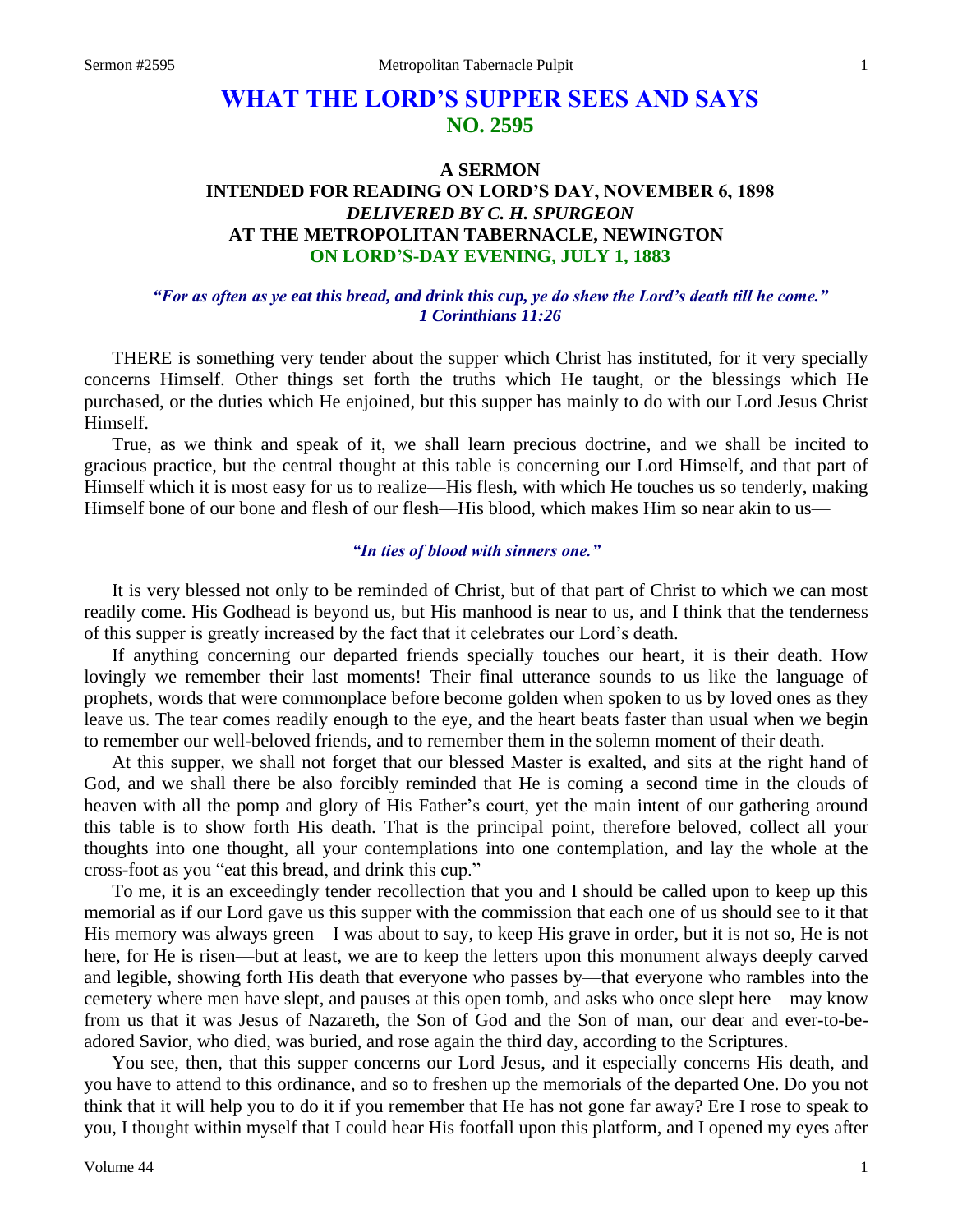# **WHAT THE LORD'S SUPPER SEES AND SAYS NO. 2595**

## **A SERMON INTENDED FOR READING ON LORD'S DAY, NOVEMBER 6, 1898** *DELIVERED BY C. H. SPURGEON* **AT THE METROPOLITAN TABERNACLE, NEWINGTON ON LORD'S-DAY EVENING, JULY 1, 1883**

#### *"For as often as ye eat this bread, and drink this cup, ye do shew the Lord's death till he come." 1 Corinthians 11:26*

THERE is something very tender about the supper which Christ has instituted, for it very specially concerns Himself. Other things set forth the truths which He taught, or the blessings which He purchased, or the duties which He enjoined, but this supper has mainly to do with our Lord Jesus Christ Himself.

True, as we think and speak of it, we shall learn precious doctrine, and we shall be incited to gracious practice, but the central thought at this table is concerning our Lord Himself, and that part of Himself which it is most easy for us to realize—His flesh, with which He touches us so tenderly, making Himself bone of our bone and flesh of our flesh—His blood, which makes Him so near akin to us—

#### *"In ties of blood with sinners one."*

It is very blessed not only to be reminded of Christ, but of that part of Christ to which we can most readily come. His Godhead is beyond us, but His manhood is near to us, and I think that the tenderness of this supper is greatly increased by the fact that it celebrates our Lord's death.

If anything concerning our departed friends specially touches our heart, it is their death. How lovingly we remember their last moments! Their final utterance sounds to us like the language of prophets, words that were commonplace before become golden when spoken to us by loved ones as they leave us. The tear comes readily enough to the eye, and the heart beats faster than usual when we begin to remember our well-beloved friends, and to remember them in the solemn moment of their death.

At this supper, we shall not forget that our blessed Master is exalted, and sits at the right hand of God, and we shall there be also forcibly reminded that He is coming a second time in the clouds of heaven with all the pomp and glory of His Father's court, yet the main intent of our gathering around this table is to show forth His death. That is the principal point, therefore beloved, collect all your thoughts into one thought, all your contemplations into one contemplation, and lay the whole at the cross-foot as you "eat this bread, and drink this cup."

To me, it is an exceedingly tender recollection that you and I should be called upon to keep up this memorial as if our Lord gave us this supper with the commission that each one of us should see to it that His memory was always green—I was about to say, to keep His grave in order, but it is not so, He is not here, for He is risen—but at least, we are to keep the letters upon this monument always deeply carved and legible, showing forth His death that everyone who passes by—that everyone who rambles into the cemetery where men have slept, and pauses at this open tomb, and asks who once slept here—may know from us that it was Jesus of Nazareth, the Son of God and the Son of man, our dear and ever-to-beadored Savior, who died, was buried, and rose again the third day, according to the Scriptures.

You see, then, that this supper concerns our Lord Jesus, and it especially concerns His death, and you have to attend to this ordinance, and so to freshen up the memorials of the departed One. Do you not think that it will help you to do it if you remember that He has not gone far away? Ere I rose to speak to you, I thought within myself that I could hear His footfall upon this platform, and I opened my eyes after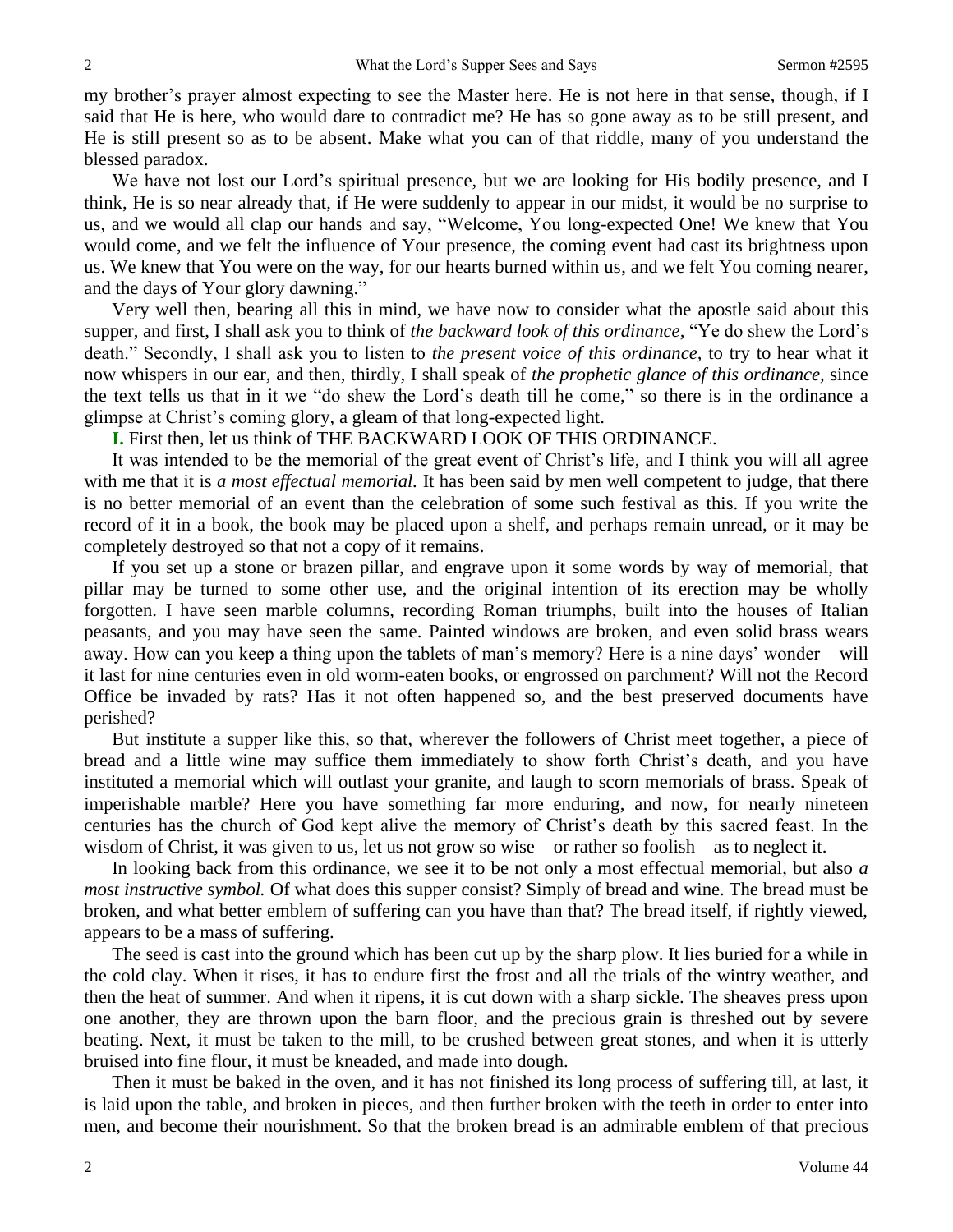my brother's prayer almost expecting to see the Master here. He is not here in that sense, though, if I said that He is here, who would dare to contradict me? He has so gone away as to be still present, and He is still present so as to be absent. Make what you can of that riddle, many of you understand the blessed paradox.

We have not lost our Lord's spiritual presence, but we are looking for His bodily presence, and I think, He is so near already that, if He were suddenly to appear in our midst, it would be no surprise to us, and we would all clap our hands and say, "Welcome, You long-expected One! We knew that You would come, and we felt the influence of Your presence, the coming event had cast its brightness upon us. We knew that You were on the way, for our hearts burned within us, and we felt You coming nearer, and the days of Your glory dawning."

Very well then, bearing all this in mind, we have now to consider what the apostle said about this supper, and first, I shall ask you to think of *the backward look of this ordinance,* "Ye do shew the Lord's death." Secondly, I shall ask you to listen to *the present voice of this ordinance,* to try to hear what it now whispers in our ear, and then, thirdly, I shall speak of *the prophetic glance of this ordinance,* since the text tells us that in it we "do shew the Lord's death till he come," so there is in the ordinance a glimpse at Christ's coming glory, a gleam of that long-expected light.

**I.** First then, let us think of THE BACKWARD LOOK OF THIS ORDINANCE.

It was intended to be the memorial of the great event of Christ's life, and I think you will all agree with me that it is *a most effectual memorial*. It has been said by men well competent to judge, that there is no better memorial of an event than the celebration of some such festival as this. If you write the record of it in a book, the book may be placed upon a shelf, and perhaps remain unread, or it may be completely destroyed so that not a copy of it remains.

If you set up a stone or brazen pillar, and engrave upon it some words by way of memorial, that pillar may be turned to some other use, and the original intention of its erection may be wholly forgotten. I have seen marble columns, recording Roman triumphs, built into the houses of Italian peasants, and you may have seen the same. Painted windows are broken, and even solid brass wears away. How can you keep a thing upon the tablets of man's memory? Here is a nine days' wonder—will it last for nine centuries even in old worm-eaten books, or engrossed on parchment? Will not the Record Office be invaded by rats? Has it not often happened so, and the best preserved documents have perished?

But institute a supper like this, so that, wherever the followers of Christ meet together, a piece of bread and a little wine may suffice them immediately to show forth Christ's death, and you have instituted a memorial which will outlast your granite, and laugh to scorn memorials of brass. Speak of imperishable marble? Here you have something far more enduring, and now, for nearly nineteen centuries has the church of God kept alive the memory of Christ's death by this sacred feast. In the wisdom of Christ, it was given to us, let us not grow so wise—or rather so foolish—as to neglect it.

In looking back from this ordinance, we see it to be not only a most effectual memorial, but also *a most instructive symbol.* Of what does this supper consist? Simply of bread and wine. The bread must be broken, and what better emblem of suffering can you have than that? The bread itself, if rightly viewed, appears to be a mass of suffering.

The seed is cast into the ground which has been cut up by the sharp plow. It lies buried for a while in the cold clay. When it rises, it has to endure first the frost and all the trials of the wintry weather, and then the heat of summer. And when it ripens, it is cut down with a sharp sickle. The sheaves press upon one another, they are thrown upon the barn floor, and the precious grain is threshed out by severe beating. Next, it must be taken to the mill, to be crushed between great stones, and when it is utterly bruised into fine flour, it must be kneaded, and made into dough.

Then it must be baked in the oven, and it has not finished its long process of suffering till, at last, it is laid upon the table, and broken in pieces, and then further broken with the teeth in order to enter into men, and become their nourishment. So that the broken bread is an admirable emblem of that precious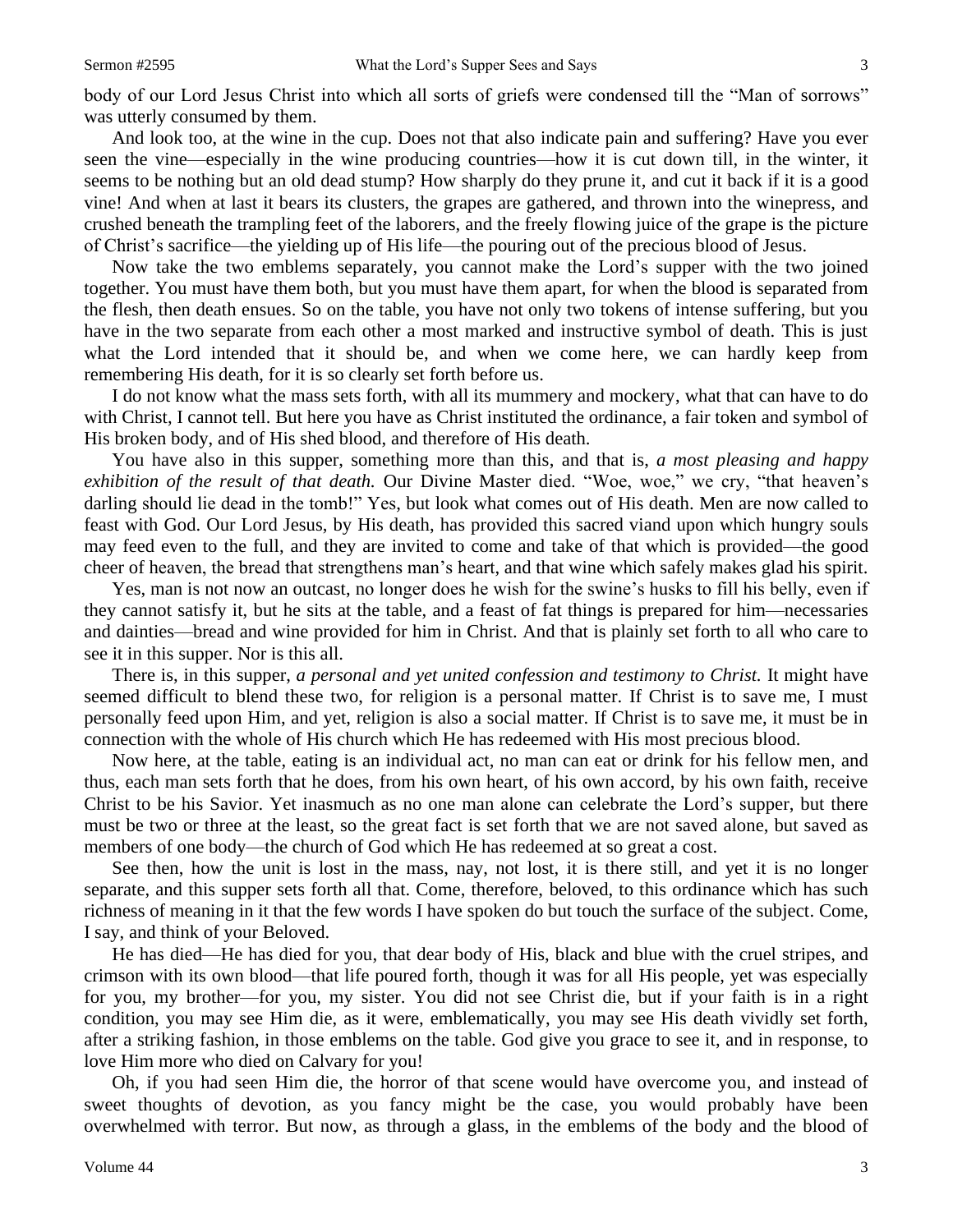And look too, at the wine in the cup. Does not that also indicate pain and suffering? Have you ever seen the vine—especially in the wine producing countries—how it is cut down till, in the winter, it seems to be nothing but an old dead stump? How sharply do they prune it, and cut it back if it is a good vine! And when at last it bears its clusters, the grapes are gathered, and thrown into the winepress, and crushed beneath the trampling feet of the laborers, and the freely flowing juice of the grape is the picture of Christ's sacrifice—the yielding up of His life—the pouring out of the precious blood of Jesus.

Now take the two emblems separately, you cannot make the Lord's supper with the two joined together. You must have them both, but you must have them apart, for when the blood is separated from the flesh, then death ensues. So on the table, you have not only two tokens of intense suffering, but you have in the two separate from each other a most marked and instructive symbol of death. This is just what the Lord intended that it should be, and when we come here, we can hardly keep from remembering His death, for it is so clearly set forth before us.

I do not know what the mass sets forth, with all its mummery and mockery, what that can have to do with Christ, I cannot tell. But here you have as Christ instituted the ordinance, a fair token and symbol of His broken body, and of His shed blood, and therefore of His death.

You have also in this supper, something more than this, and that is, *a most pleasing and happy exhibition of the result of that death.* Our Divine Master died. "Woe, woe," we cry, "that heaven's darling should lie dead in the tomb!" Yes, but look what comes out of His death. Men are now called to feast with God. Our Lord Jesus, by His death, has provided this sacred viand upon which hungry souls may feed even to the full, and they are invited to come and take of that which is provided—the good cheer of heaven, the bread that strengthens man's heart, and that wine which safely makes glad his spirit.

Yes, man is not now an outcast, no longer does he wish for the swine's husks to fill his belly, even if they cannot satisfy it, but he sits at the table, and a feast of fat things is prepared for him—necessaries and dainties—bread and wine provided for him in Christ. And that is plainly set forth to all who care to see it in this supper. Nor is this all.

There is, in this supper, *a personal and yet united confession and testimony to Christ*. It might have seemed difficult to blend these two, for religion is a personal matter. If Christ is to save me, I must personally feed upon Him, and yet, religion is also a social matter. If Christ is to save me, it must be in connection with the whole of His church which He has redeemed with His most precious blood.

Now here, at the table, eating is an individual act, no man can eat or drink for his fellow men, and thus, each man sets forth that he does, from his own heart, of his own accord, by his own faith, receive Christ to be his Savior. Yet inasmuch as no one man alone can celebrate the Lord's supper, but there must be two or three at the least, so the great fact is set forth that we are not saved alone, but saved as members of one body—the church of God which He has redeemed at so great a cost.

See then, how the unit is lost in the mass, nay, not lost, it is there still, and yet it is no longer separate, and this supper sets forth all that. Come, therefore, beloved, to this ordinance which has such richness of meaning in it that the few words I have spoken do but touch the surface of the subject. Come, I say, and think of your Beloved.

He has died—He has died for you, that dear body of His, black and blue with the cruel stripes, and crimson with its own blood—that life poured forth, though it was for all His people, yet was especially for you, my brother—for you, my sister. You did not see Christ die, but if your faith is in a right condition, you may see Him die, as it were, emblematically, you may see His death vividly set forth, after a striking fashion, in those emblems on the table. God give you grace to see it, and in response, to love Him more who died on Calvary for you!

Oh, if you had seen Him die, the horror of that scene would have overcome you, and instead of sweet thoughts of devotion, as you fancy might be the case, you would probably have been overwhelmed with terror. But now, as through a glass, in the emblems of the body and the blood of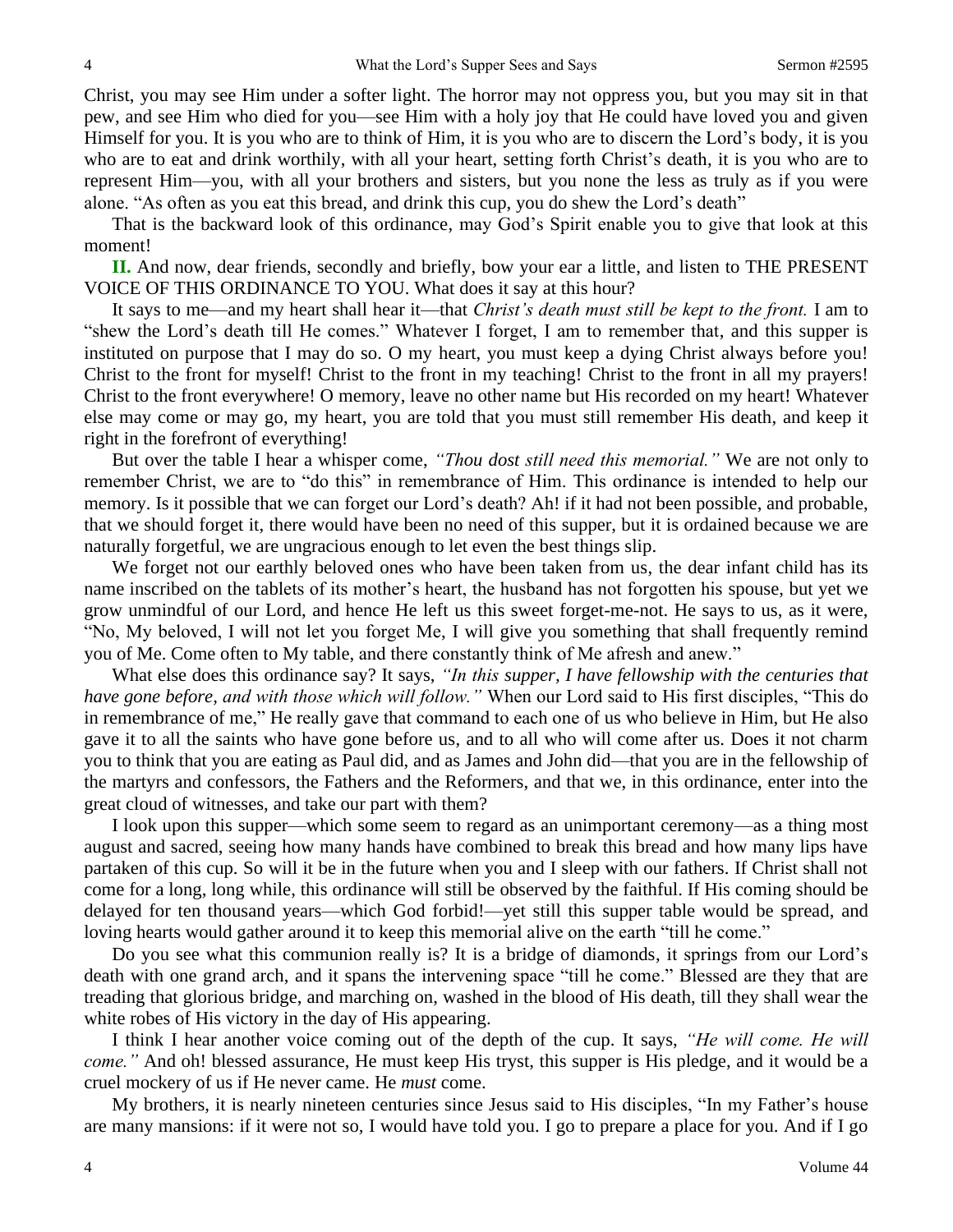Christ, you may see Him under a softer light. The horror may not oppress you, but you may sit in that pew, and see Him who died for you—see Him with a holy joy that He could have loved you and given Himself for you. It is you who are to think of Him, it is you who are to discern the Lord's body, it is you who are to eat and drink worthily, with all your heart, setting forth Christ's death, it is you who are to represent Him—you, with all your brothers and sisters, but you none the less as truly as if you were alone. "As often as you eat this bread, and drink this cup, you do shew the Lord's death"

That is the backward look of this ordinance, may God's Spirit enable you to give that look at this moment!

**II.** And now, dear friends, secondly and briefly, bow your ear a little, and listen to THE PRESENT VOICE OF THIS ORDINANCE TO YOU. What does it say at this hour?

It says to me—and my heart shall hear it—that *Christ's death must still be kept to the front.* I am to "shew the Lord's death till He comes." Whatever I forget, I am to remember that, and this supper is instituted on purpose that I may do so. O my heart, you must keep a dying Christ always before you! Christ to the front for myself! Christ to the front in my teaching! Christ to the front in all my prayers! Christ to the front everywhere! O memory, leave no other name but His recorded on my heart! Whatever else may come or may go, my heart, you are told that you must still remember His death, and keep it right in the forefront of everything!

But over the table I hear a whisper come, *"Thou dost still need this memorial."* We are not only to remember Christ, we are to "do this" in remembrance of Him. This ordinance is intended to help our memory. Is it possible that we can forget our Lord's death? Ah! if it had not been possible, and probable, that we should forget it, there would have been no need of this supper, but it is ordained because we are naturally forgetful, we are ungracious enough to let even the best things slip.

We forget not our earthly beloved ones who have been taken from us, the dear infant child has its name inscribed on the tablets of its mother's heart, the husband has not forgotten his spouse, but yet we grow unmindful of our Lord, and hence He left us this sweet forget-me-not. He says to us, as it were, "No, My beloved, I will not let you forget Me, I will give you something that shall frequently remind you of Me. Come often to My table, and there constantly think of Me afresh and anew."

What else does this ordinance say? It says, *"In this supper, I have fellowship with the centuries that have gone before, and with those which will follow."* When our Lord said to His first disciples, "This do in remembrance of me," He really gave that command to each one of us who believe in Him, but He also gave it to all the saints who have gone before us, and to all who will come after us. Does it not charm you to think that you are eating as Paul did, and as James and John did—that you are in the fellowship of the martyrs and confessors, the Fathers and the Reformers, and that we, in this ordinance, enter into the great cloud of witnesses, and take our part with them?

I look upon this supper—which some seem to regard as an unimportant ceremony—as a thing most august and sacred, seeing how many hands have combined to break this bread and how many lips have partaken of this cup. So will it be in the future when you and I sleep with our fathers. If Christ shall not come for a long, long while, this ordinance will still be observed by the faithful. If His coming should be delayed for ten thousand years—which God forbid!—yet still this supper table would be spread, and loving hearts would gather around it to keep this memorial alive on the earth "till he come."

Do you see what this communion really is? It is a bridge of diamonds, it springs from our Lord's death with one grand arch, and it spans the intervening space "till he come." Blessed are they that are treading that glorious bridge, and marching on, washed in the blood of His death, till they shall wear the white robes of His victory in the day of His appearing.

I think I hear another voice coming out of the depth of the cup. It says, *"He will come. He will come."* And oh! blessed assurance, He must keep His tryst, this supper is His pledge, and it would be a cruel mockery of us if He never came. He *must* come.

My brothers, it is nearly nineteen centuries since Jesus said to His disciples, "In my Father's house are many mansions: if it were not so*,* I would have told you. I go to prepare a place for you. And if I go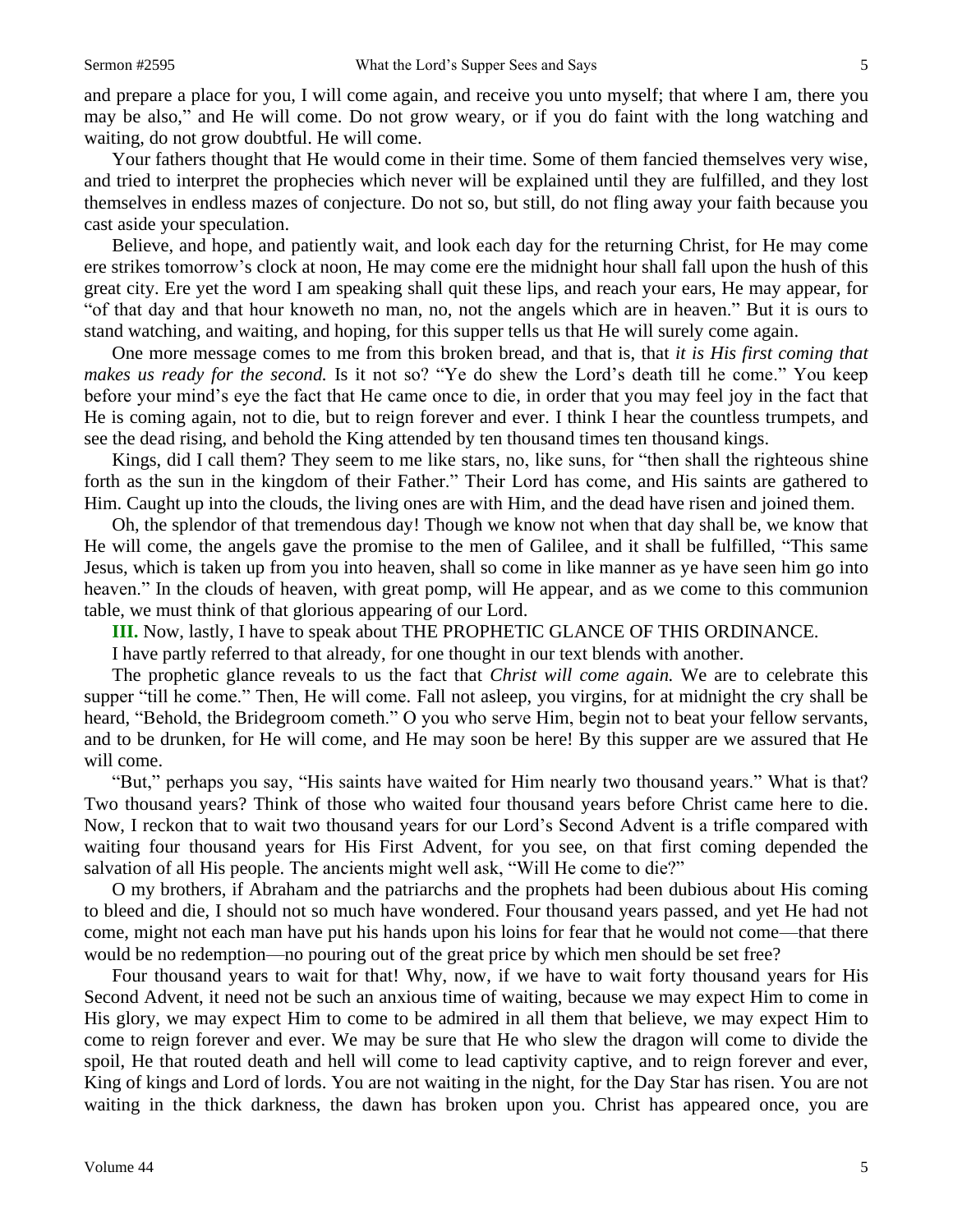and prepare a place for you, I will come again, and receive you unto myself; that where I am, there you may be also," and He will come. Do not grow weary, or if you do faint with the long watching and waiting, do not grow doubtful. He will come.

Your fathers thought that He would come in their time. Some of them fancied themselves very wise, and tried to interpret the prophecies which never will be explained until they are fulfilled, and they lost themselves in endless mazes of conjecture. Do not so, but still, do not fling away your faith because you cast aside your speculation.

Believe, and hope, and patiently wait, and look each day for the returning Christ, for He may come ere strikes tomorrow's clock at noon, He may come ere the midnight hour shall fall upon the hush of this great city. Ere yet the word I am speaking shall quit these lips, and reach your ears, He may appear, for "of that day and that hour knoweth no man, no, not the angels which are in heaven." But it is ours to stand watching, and waiting, and hoping, for this supper tells us that He will surely come again.

One more message comes to me from this broken bread, and that is, that *it is His first coming that makes us ready for the second.* Is it not so? "Ye do shew the Lord's death till he come." You keep before your mind's eye the fact that He came once to die, in order that you may feel joy in the fact that He is coming again, not to die, but to reign forever and ever. I think I hear the countless trumpets, and see the dead rising, and behold the King attended by ten thousand times ten thousand kings.

Kings, did I call them? They seem to me like stars, no, like suns, for "then shall the righteous shine forth as the sun in the kingdom of their Father." Their Lord has come, and His saints are gathered to Him. Caught up into the clouds, the living ones are with Him, and the dead have risen and joined them.

Oh, the splendor of that tremendous day! Though we know not when that day shall be, we know that He will come, the angels gave the promise to the men of Galilee, and it shall be fulfilled, "This same Jesus, which is taken up from you into heaven, shall so come in like manner as ye have seen him go into heaven." In the clouds of heaven, with great pomp, will He appear, and as we come to this communion table, we must think of that glorious appearing of our Lord.

**III.** Now, lastly, I have to speak about THE PROPHETIC GLANCE OF THIS ORDINANCE.

I have partly referred to that already, for one thought in our text blends with another.

The prophetic glance reveals to us the fact that *Christ will come again.* We are to celebrate this supper "till he come." Then, He will come. Fall not asleep, you virgins, for at midnight the cry shall be heard, "Behold, the Bridegroom cometh." O you who serve Him, begin not to beat your fellow servants, and to be drunken, for He will come, and He may soon be here! By this supper are we assured that He will come.

"But," perhaps you say, "His saints have waited for Him nearly two thousand years." What is that? Two thousand years? Think of those who waited four thousand years before Christ came here to die. Now, I reckon that to wait two thousand years for our Lord's Second Advent is a trifle compared with waiting four thousand years for His First Advent, for you see, on that first coming depended the salvation of all His people. The ancients might well ask, "Will He come to die?"

O my brothers, if Abraham and the patriarchs and the prophets had been dubious about His coming to bleed and die, I should not so much have wondered. Four thousand years passed, and yet He had not come, might not each man have put his hands upon his loins for fear that he would not come—that there would be no redemption—no pouring out of the great price by which men should be set free?

Four thousand years to wait for that! Why, now, if we have to wait forty thousand years for His Second Advent, it need not be such an anxious time of waiting, because we may expect Him to come in His glory, we may expect Him to come to be admired in all them that believe, we may expect Him to come to reign forever and ever. We may be sure that He who slew the dragon will come to divide the spoil, He that routed death and hell will come to lead captivity captive, and to reign forever and ever, King of kings and Lord of lords. You are not waiting in the night, for the Day Star has risen. You are not waiting in the thick darkness, the dawn has broken upon you. Christ has appeared once, you are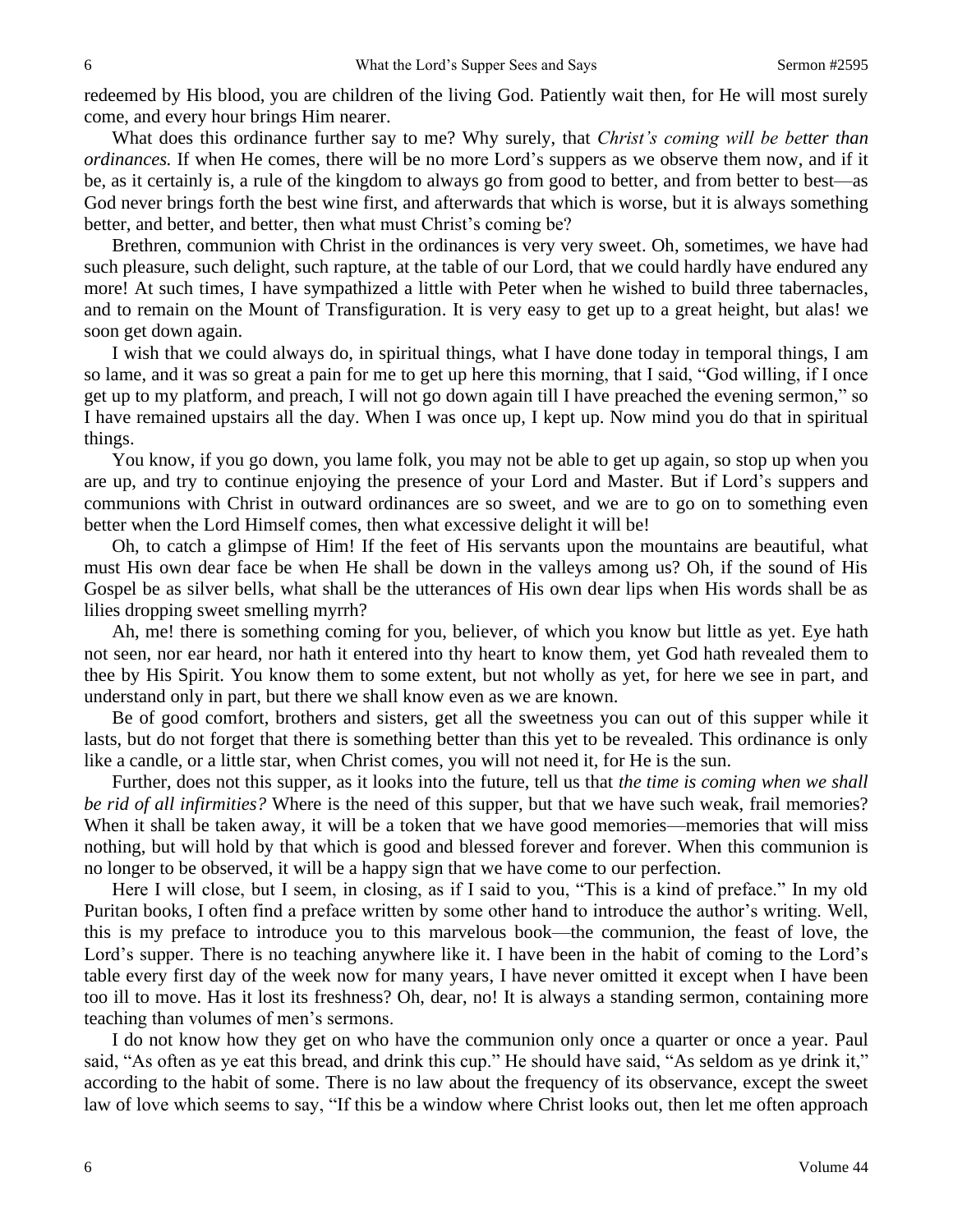redeemed by His blood, you are children of the living God. Patiently wait then, for He will most surely come, and every hour brings Him nearer.

What does this ordinance further say to me? Why surely, that *Christ's coming will be better than ordinances.* If when He comes, there will be no more Lord's suppers as we observe them now, and if it be, as it certainly is, a rule of the kingdom to always go from good to better, and from better to best—as God never brings forth the best wine first, and afterwards that which is worse, but it is always something better, and better, and better, then what must Christ's coming be?

Brethren, communion with Christ in the ordinances is very very sweet. Oh, sometimes, we have had such pleasure, such delight, such rapture, at the table of our Lord, that we could hardly have endured any more! At such times, I have sympathized a little with Peter when he wished to build three tabernacles, and to remain on the Mount of Transfiguration. It is very easy to get up to a great height, but alas! we soon get down again.

I wish that we could always do, in spiritual things, what I have done today in temporal things, I am so lame, and it was so great a pain for me to get up here this morning, that I said, "God willing, if I once get up to my platform, and preach, I will not go down again till I have preached the evening sermon," so I have remained upstairs all the day. When I was once up, I kept up. Now mind you do that in spiritual things.

You know, if you go down, you lame folk, you may not be able to get up again, so stop up when you are up, and try to continue enjoying the presence of your Lord and Master. But if Lord's suppers and communions with Christ in outward ordinances are so sweet, and we are to go on to something even better when the Lord Himself comes, then what excessive delight it will be!

Oh, to catch a glimpse of Him! If the feet of His servants upon the mountains are beautiful, what must His own dear face be when He shall be down in the valleys among us? Oh, if the sound of His Gospel be as silver bells, what shall be the utterances of His own dear lips when His words shall be as lilies dropping sweet smelling myrrh?

Ah, me! there is something coming for you, believer, of which you know but little as yet. Eye hath not seen, nor ear heard, nor hath it entered into thy heart to know them, yet God hath revealed them to thee by His Spirit. You know them to some extent, but not wholly as yet, for here we see in part, and understand only in part, but there we shall know even as we are known.

Be of good comfort, brothers and sisters, get all the sweetness you can out of this supper while it lasts, but do not forget that there is something better than this yet to be revealed. This ordinance is only like a candle, or a little star, when Christ comes, you will not need it, for He is the sun.

Further, does not this supper, as it looks into the future, tell us that *the time is coming when we shall be rid of all infirmities?* Where is the need of this supper, but that we have such weak, frail memories? When it shall be taken away, it will be a token that we have good memories—memories that will miss nothing, but will hold by that which is good and blessed forever and forever. When this communion is no longer to be observed, it will be a happy sign that we have come to our perfection.

Here I will close, but I seem, in closing, as if I said to you, "This is a kind of preface." In my old Puritan books, I often find a preface written by some other hand to introduce the author's writing. Well, this is my preface to introduce you to this marvelous book—the communion, the feast of love, the Lord's supper. There is no teaching anywhere like it. I have been in the habit of coming to the Lord's table every first day of the week now for many years, I have never omitted it except when I have been too ill to move. Has it lost its freshness? Oh, dear, no! It is always a standing sermon, containing more teaching than volumes of men's sermons.

I do not know how they get on who have the communion only once a quarter or once a year. Paul said, "As often as ye eat this bread, and drink this cup." He should have said, "As seldom as ye drink it," according to the habit of some. There is no law about the frequency of its observance, except the sweet law of love which seems to say, "If this be a window where Christ looks out, then let me often approach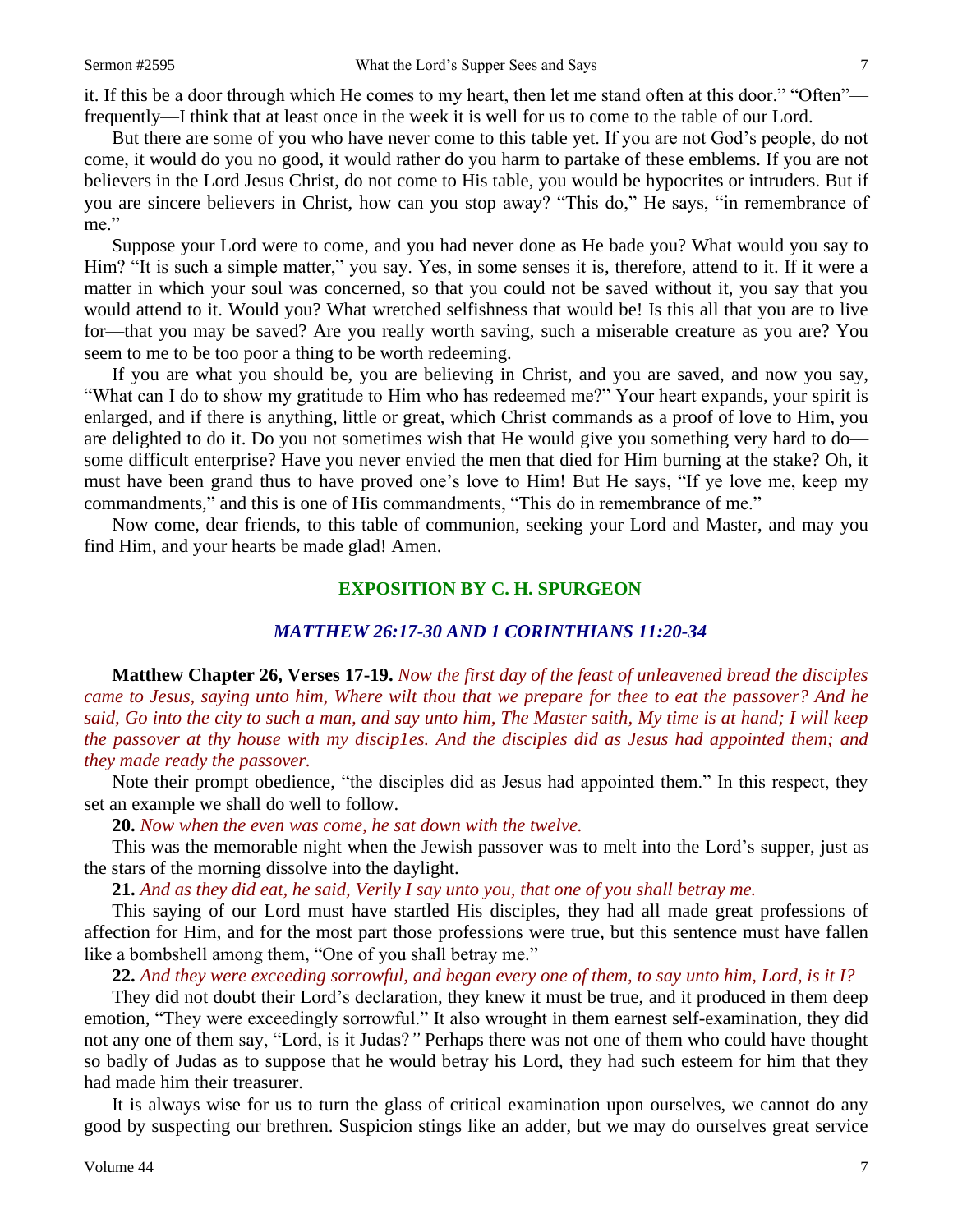it. If this be a door through which He comes to my heart, then let me stand often at this door." "Often" frequently—I think that at least once in the week it is well for us to come to the table of our Lord.

But there are some of you who have never come to this table yet. If you are not God's people, do not come, it would do you no good, it would rather do you harm to partake of these emblems. If you are not believers in the Lord Jesus Christ, do not come to His table, you would be hypocrites or intruders. But if you are sincere believers in Christ, how can you stop away? "This do," He says, "in remembrance of me."

Suppose your Lord were to come, and you had never done as He bade you? What would you say to Him? "It is such a simple matter," you say. Yes, in some senses it is, therefore, attend to it. If it were a matter in which your soul was concerned, so that you could not be saved without it, you say that you would attend to it. Would you? What wretched selfishness that would be! Is this all that you are to live for—that you may be saved? Are you really worth saving, such a miserable creature as you are? You seem to me to be too poor a thing to be worth redeeming.

If you are what you should be, you are believing in Christ, and you are saved, and now you say, "What can I do to show my gratitude to Him who has redeemed me?" Your heart expands, your spirit is enlarged, and if there is anything, little or great, which Christ commands as a proof of love to Him, you are delighted to do it. Do you not sometimes wish that He would give you something very hard to do some difficult enterprise? Have you never envied the men that died for Him burning at the stake? Oh, it must have been grand thus to have proved one's love to Him! But He says, "If ye love me, keep my commandments," and this is one of His commandments, "This do in remembrance of me."

Now come, dear friends, to this table of communion, seeking your Lord and Master, and may you find Him, and your hearts be made glad! Amen.

#### **EXPOSITION BY C. H. SPURGEON**

#### *MATTHEW 26:17-30 AND 1 CORINTHIANS 11:20-34*

**Matthew Chapter 26, Verses 17-19.** *Now the first day of the feast of unleavened bread the disciples came to Jesus, saying unto him, Where wilt thou that we prepare for thee to eat the passover? And he said, Go into the city to such a man, and say unto him, The Master saith, My time is at hand; I will keep the passover at thy house with my discip1es. And the disciples did as Jesus had appointed them; and they made ready the passover.*

Note their prompt obedience, "the disciples did as Jesus had appointed them." In this respect, they set an example we shall do well to follow.

**20.** *Now when the even was come, he sat down with the twelve.*

This was the memorable night when the Jewish passover was to melt into the Lord's supper, just as the stars of the morning dissolve into the daylight.

**21.** *And as they did eat, he said, Verily I say unto you, that one of you shall betray me.*

This saying of our Lord must have startled His disciples, they had all made great professions of affection for Him, and for the most part those professions were true, but this sentence must have fallen like a bombshell among them, "One of you shall betray me."

**22.** *And they were exceeding sorrowful, and began every one of them, to say unto him, Lord, is it I?*

They did not doubt their Lord's declaration, they knew it must be true, and it produced in them deep emotion, "They were exceedingly sorrowful." It also wrought in them earnest self-examination, they did not any one of them say, "Lord, is it Judas?*"* Perhaps there was not one of them who could have thought so badly of Judas as to suppose that he would betray his Lord, they had such esteem for him that they had made him their treasurer.

It is always wise for us to turn the glass of critical examination upon ourselves, we cannot do any good by suspecting our brethren. Suspicion stings like an adder, but we may do ourselves great service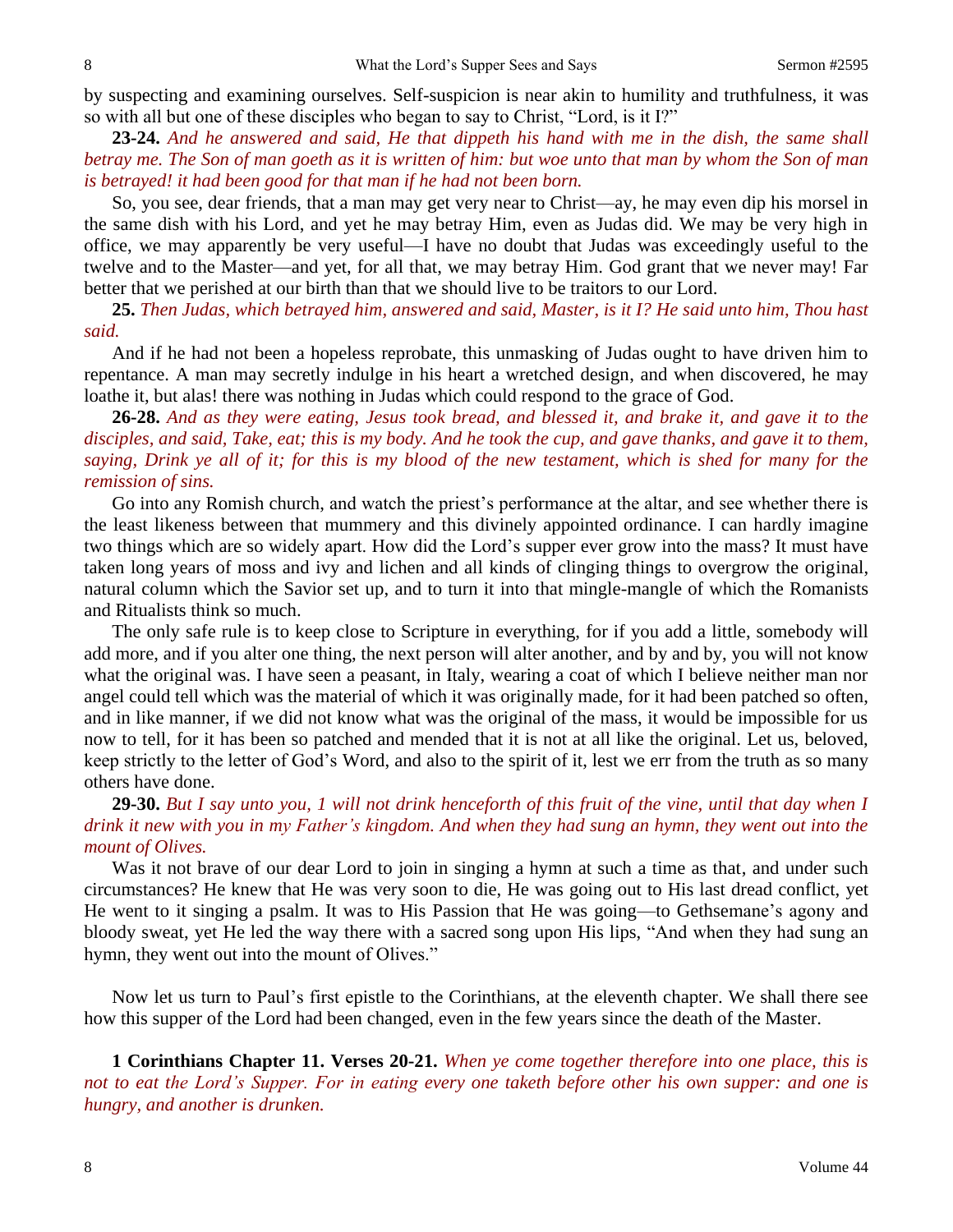by suspecting and examining ourselves. Self-suspicion is near akin to humility and truthfulness, it was so with all but one of these disciples who began to say to Christ, "Lord, is it I?"

**23-24.** *And he answered and said, He that dippeth his hand with me in the dish, the same shall betray me. The Son of man goeth as it is written of him: but woe unto that man by whom the Son of man is betrayed! it had been good for that man if he had not been born.*

So, you see, dear friends, that a man may get very near to Christ—ay, he may even dip his morsel in the same dish with his Lord, and yet he may betray Him, even as Judas did. We may be very high in office, we may apparently be very useful—I have no doubt that Judas was exceedingly useful to the twelve and to the Master—and yet, for all that, we may betray Him. God grant that we never may! Far better that we perished at our birth than that we should live to be traitors to our Lord.

**25.** *Then Judas, which betrayed him, answered and said, Master, is it I? He said unto him, Thou hast said.*

And if he had not been a hopeless reprobate, this unmasking of Judas ought to have driven him to repentance. A man may secretly indulge in his heart a wretched design, and when discovered, he may loathe it, but alas! there was nothing in Judas which could respond to the grace of God.

**26-28.** *And as they were eating, Jesus took bread, and blessed it, and brake it, and gave it to the disciples, and said, Take, eat; this is my body. And he took the cup, and gave thanks, and gave it to them, saying, Drink ye all of it; for this is my blood of the new testament, which is shed for many for the remission of sins.*

Go into any Romish church, and watch the priest's performance at the altar, and see whether there is the least likeness between that mummery and this divinely appointed ordinance. I can hardly imagine two things which are so widely apart. How did the Lord's supper ever grow into the mass? It must have taken long years of moss and ivy and lichen and all kinds of clinging things to overgrow the original, natural column which the Savior set up, and to turn it into that mingle-mangle of which the Romanists and Ritualists think so much.

The only safe rule is to keep close to Scripture in everything, for if you add a little, somebody will add more, and if you alter one thing, the next person will alter another, and by and by, you will not know what the original was. I have seen a peasant, in Italy, wearing a coat of which I believe neither man nor angel could tell which was the material of which it was originally made, for it had been patched so often, and in like manner, if we did not know what was the original of the mass, it would be impossible for us now to tell, for it has been so patched and mended that it is not at all like the original. Let us, beloved, keep strictly to the letter of God's Word, and also to the spirit of it, lest we err from the truth as so many others have done.

**29-30.** *But I say unto you, 1 will not drink henceforth of this fruit of the vine, until that day when I drink it new with you in my Father's kingdom. And when they had sung an hymn, they went out into the mount of Olives.*

Was it not brave of our dear Lord to join in singing a hymn at such a time as that, and under such circumstances? He knew that He was very soon to die, He was going out to His last dread conflict, yet He went to it singing a psalm. It was to His Passion that He was going—to Gethsemane's agony and bloody sweat, yet He led the way there with a sacred song upon His lips, "And when they had sung an hymn, they went out into the mount of Olives."

Now let us turn to Paul's first epistle to the Corinthians, at the eleventh chapter. We shall there see how this supper of the Lord had been changed, even in the few years since the death of the Master.

**1 Corinthians Chapter 11. Verses 20-21.** *When ye come together therefore into one place, this is not to eat the Lord's Supper. For in eating every one taketh before other his own supper: and one is hungry, and another is drunken.*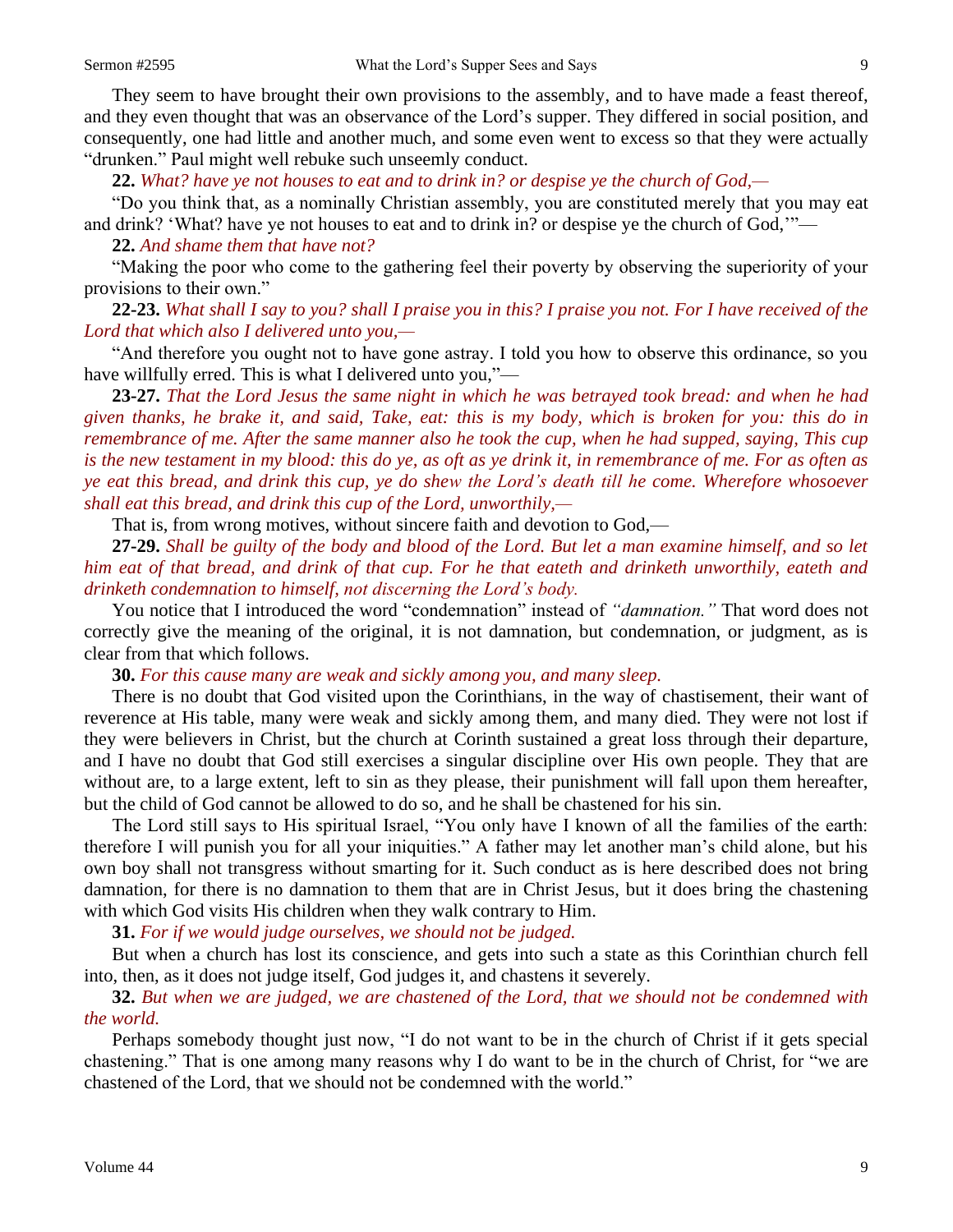They seem to have brought their own provisions to the assembly, and to have made a feast thereof, and they even thought that was an observance of the Lord's supper. They differed in social position, and consequently, one had little and another much, and some even went to excess so that they were actually "drunken." Paul might well rebuke such unseemly conduct.

**22.** *What? have ye not houses to eat and to drink in? or despise ye the church of God,—*

"Do you think that, as a nominally Christian assembly, you are constituted merely that you may eat and drink? 'What? have ye not houses to eat and to drink in? or despise ye the church of God,'"—

#### **22.** *And shame them that have not?*

"Making the poor who come to the gathering feel their poverty by observing the superiority of your provisions to their own."

**22-23.** *What shall I say to you? shall I praise you in this? I praise you not. For I have received of the Lord that which also I delivered unto you,—*

"And therefore you ought not to have gone astray. I told you how to observe this ordinance, so you have willfully erred. This is what I delivered unto you,"—

**23-27.** *That the Lord Jesus the same night in which he was betrayed took bread: and when he had given thanks, he brake it, and said, Take, eat: this is my body, which is broken for you: this do in remembrance of me. After the same manner also he took the cup, when he had supped, saying, This cup is the new testament in my blood: this do ye, as oft as ye drink it, in remembrance of me. For as often as ye eat this bread, and drink this cup, ye do shew the Lord's death till he come. Wherefore whosoever shall eat this bread, and drink this cup of the Lord, unworthily,—*

That is, from wrong motives, without sincere faith and devotion to God,—

**27-29.** *Shall be guilty of the body and blood of the Lord. But let a man examine himself, and so let him eat of that bread, and drink of that cup. For he that eateth and drinketh unworthily, eateth and drinketh condemnation to himself, not discerning the Lord's body.*

You notice that I introduced the word "condemnation" instead of *"damnation."* That word does not correctly give the meaning of the original, it is not damnation, but condemnation, or judgment, as is clear from that which follows.

**30.** *For this cause many are weak and sickly among you, and many sleep.*

There is no doubt that God visited upon the Corinthians, in the way of chastisement, their want of reverence at His table, many were weak and sickly among them, and many died. They were not lost if they were believers in Christ, but the church at Corinth sustained a great loss through their departure, and I have no doubt that God still exercises a singular discipline over His own people. They that are without are, to a large extent, left to sin as they please, their punishment will fall upon them hereafter, but the child of God cannot be allowed to do so, and he shall be chastened for his sin.

The Lord still says to His spiritual Israel, "You only have I known of all the families of the earth: therefore I will punish you for all your iniquities." A father may let another man's child alone, but his own boy shall not transgress without smarting for it. Such conduct as is here described does not bring damnation, for there is no damnation to them that are in Christ Jesus, but it does bring the chastening with which God visits His children when they walk contrary to Him.

**31.** *For if we would judge ourselves, we should not be judged.*

But when a church has lost its conscience, and gets into such a state as this Corinthian church fell into, then, as it does not judge itself, God judges it, and chastens it severely.

### **32.** *But when we are judged, we are chastened of the Lord, that we should not be condemned with the world.*

Perhaps somebody thought just now, "I do not want to be in the church of Christ if it gets special chastening." That is one among many reasons why I do want to be in the church of Christ, for "we are chastened of the Lord, that we should not be condemned with the world."